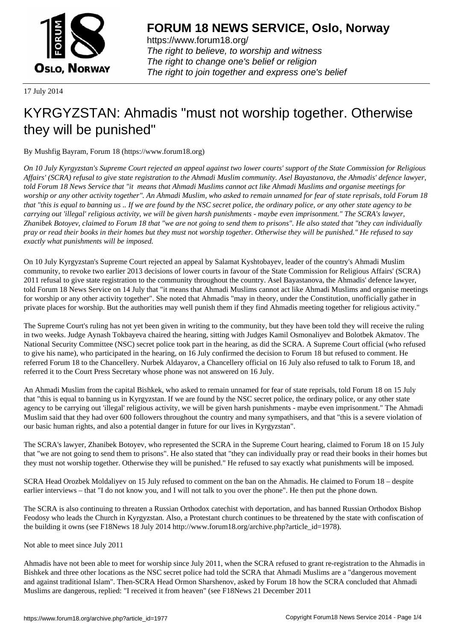

https://www.forum18.org/ The right to believe, to worship and witness The right to change one's belief or religion [The right to join together a](https://www.forum18.org/)nd express one's belief

17 July 2014

## [KYRGYZSTAN](https://www.forum18.org): Ahmadis "must not worship together. Otherwise they will be punished"

By Mushfig Bayram, Forum 18 (https://www.forum18.org)

*On 10 July Kyrgyzstan's Supreme Court rejected an appeal against two lower courts' support of the State Commission for Religious Affairs' (SCRA) refusal to give state registration to the Ahmadi Muslim community. Asel Bayastanova, the Ahmadis' defence lawyer, told Forum 18 News Service that "it means that Ahmadi Muslims cannot act like Ahmadi Muslims and organise meetings for worship or any other activity together". An Ahmadi Muslim, who asked to remain unnamed for fear of state reprisals, told Forum 18 that "this is equal to banning us .. If we are found by the NSC secret police, the ordinary police, or any other state agency to be carrying out 'illegal' religious activity, we will be given harsh punishments - maybe even imprisonment." The SCRA's lawyer, Zhanibek Botoyev, claimed to Forum 18 that "we are not going to send them to prisons". He also stated that "they can individually pray or read their books in their homes but they must not worship together. Otherwise they will be punished." He refused to say exactly what punishments will be imposed.*

On 10 July Kyrgyzstan's Supreme Court rejected an appeal by Salamat Kyshtobayev, leader of the country's Ahmadi Muslim community, to revoke two earlier 2013 decisions of lower courts in favour of the State Commission for Religious Affairs' (SCRA) 2011 refusal to give state registration to the community throughout the country. Asel Bayastanova, the Ahmadis' defence lawyer, told Forum 18 News Service on 14 July that "it means that Ahmadi Muslims cannot act like Ahmadi Muslims and organise meetings for worship or any other activity together". She noted that Ahmadis "may in theory, under the Constitution, unofficially gather in private places for worship. But the authorities may well punish them if they find Ahmadis meeting together for religious activity."

The Supreme Court's ruling has not yet been given in writing to the community, but they have been told they will receive the ruling in two weeks. Judge Aynash Tokbayeva chaired the hearing, sitting with Judges Kamil Osmonaliyev and Bolotbek Akmatov. The National Security Committee (NSC) secret police took part in the hearing, as did the SCRA. A Supreme Court official (who refused to give his name), who participated in the hearing, on 16 July confirmed the decision to Forum 18 but refused to comment. He referred Forum 18 to the Chancellery. Nurbek Aldayarov, a Chancellery official on 16 July also refused to talk to Forum 18, and referred it to the Court Press Secretary whose phone was not answered on 16 July.

An Ahmadi Muslim from the capital Bishkek, who asked to remain unnamed for fear of state reprisals, told Forum 18 on 15 July that "this is equal to banning us in Kyrgyzstan. If we are found by the NSC secret police, the ordinary police, or any other state agency to be carrying out 'illegal' religious activity, we will be given harsh punishments - maybe even imprisonment." The Ahmadi Muslim said that they had over 600 followers throughout the country and many sympathisers, and that "this is a severe violation of our basic human rights, and also a potential danger in future for our lives in Kyrgyzstan".

The SCRA's lawyer, Zhanibek Botoyev, who represented the SCRA in the Supreme Court hearing, claimed to Forum 18 on 15 July that "we are not going to send them to prisons". He also stated that "they can individually pray or read their books in their homes but they must not worship together. Otherwise they will be punished." He refused to say exactly what punishments will be imposed.

SCRA Head Orozbek Moldaliyev on 15 July refused to comment on the ban on the Ahmadis. He claimed to Forum 18 – despite earlier interviews – that "I do not know you, and I will not talk to you over the phone". He then put the phone down.

The SCRA is also continuing to threaten a Russian Orthodox catechist with deportation, and has banned Russian Orthodox Bishop Feodosy who leads the Church in Kyrgyzstan. Also, a Protestant church continues to be threatened by the state with confiscation of the building it owns (see F18News 18 July 2014 http://www.forum18.org/archive.php?article\_id=1978).

## Not able to meet since July 2011

Ahmadis have not been able to meet for worship since July 2011, when the SCRA refused to grant re-registration to the Ahmadis in Bishkek and three other locations as the NSC secret police had told the SCRA that Ahmadi Muslims are a "dangerous movement and against traditional Islam". Then-SCRA Head Ormon Sharshenov, asked by Forum 18 how the SCRA concluded that Ahmadi Muslims are dangerous, replied: "I received it from heaven" (see F18News 21 December 2011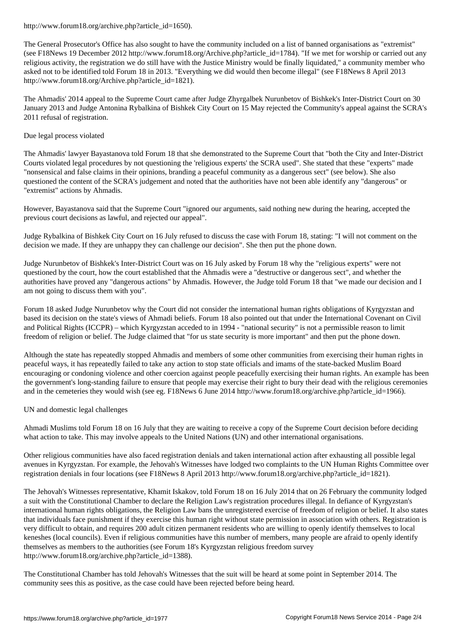The General Prosecutor's Office has also sought to have the community included on a list of banned organisations as "extremist" (see F18News 19 December 2012 http://www.forum18.org/Archive.php?article\_id=1784). "If we met for worship or carried out any religious activity, the registration we do still have with the Justice Ministry would be finally liquidated," a community member who asked not to be identified told Forum 18 in 2013. "Everything we did would then become illegal" (see F18News 8 April 2013 http://www.forum18.org/Archive.php?article\_id=1821).

The Ahmadis' 2014 appeal to the Supreme Court came after Judge Zhyrgalbek Nurunbetov of Bishkek's Inter-District Court on 30 January 2013 and Judge Antonina Rybalkina of Bishkek City Court on 15 May rejected the Community's appeal against the SCRA's 2011 refusal of registration.

## Due legal process violated

The Ahmadis' lawyer Bayastanova told Forum 18 that she demonstrated to the Supreme Court that "both the City and Inter-District Courts violated legal procedures by not questioning the 'religious experts' the SCRA used". She stated that these "experts" made "nonsensical and false claims in their opinions, branding a peaceful community as a dangerous sect" (see below). She also questioned the content of the SCRA's judgement and noted that the authorities have not been able identify any "dangerous" or "extremist" actions by Ahmadis.

However, Bayastanova said that the Supreme Court "ignored our arguments, said nothing new during the hearing, accepted the previous court decisions as lawful, and rejected our appeal".

Judge Rybalkina of Bishkek City Court on 16 July refused to discuss the case with Forum 18, stating: "I will not comment on the decision we made. If they are unhappy they can challenge our decision". She then put the phone down.

Judge Nurunbetov of Bishkek's Inter-District Court was on 16 July asked by Forum 18 why the "religious experts" were not questioned by the court, how the court established that the Ahmadis were a "destructive or dangerous sect", and whether the authorities have proved any "dangerous actions" by Ahmadis. However, the Judge told Forum 18 that "we made our decision and I am not going to discuss them with you".

Forum 18 asked Judge Nurunbetov why the Court did not consider the international human rights obligations of Kyrgyzstan and based its decision on the state's views of Ahmadi beliefs. Forum 18 also pointed out that under the International Covenant on Civil and Political Rights (ICCPR) – which Kyrgyzstan acceded to in 1994 - "national security" is not a permissible reason to limit freedom of religion or belief. The Judge claimed that "for us state security is more important" and then put the phone down.

Although the state has repeatedly stopped Ahmadis and members of some other communities from exercising their human rights in peaceful ways, it has repeatedly failed to take any action to stop state officials and imams of the state-backed Muslim Board encouraging or condoning violence and other coercion against people peacefully exercising their human rights. An example has been the government's long-standing failure to ensure that people may exercise their right to bury their dead with the religious ceremonies and in the cemeteries they would wish (see eg. F18News 6 June 2014 http://www.forum18.org/archive.php?article\_id=1966).

UN and domestic legal challenges

Ahmadi Muslims told Forum 18 on 16 July that they are waiting to receive a copy of the Supreme Court decision before deciding what action to take. This may involve appeals to the United Nations (UN) and other international organisations.

Other religious communities have also faced registration denials and taken international action after exhausting all possible legal avenues in Kyrgyzstan. For example, the Jehovah's Witnesses have lodged two complaints to the UN Human Rights Committee over registration denials in four locations (see F18News 8 April 2013 http://www.forum18.org/archive.php?article\_id=1821).

The Jehovah's Witnesses representative, Khamit Iskakov, told Forum 18 on 16 July 2014 that on 26 February the community lodged a suit with the Constitutional Chamber to declare the Religion Law's registration procedures illegal. In defiance of Kyrgyzstan's international human rights obligations, the Religion Law bans the unregistered exercise of freedom of religion or belief. It also states that individuals face punishment if they exercise this human right without state permission in association with others. Registration is very difficult to obtain, and requires 200 adult citizen permanent residents who are willing to openly identify themselves to local keneshes (local councils). Even if religious communities have this number of members, many people are afraid to openly identify themselves as members to the authorities (see Forum 18's Kyrgyzstan religious freedom survey http://www.forum18.org/archive.php?article\_id=1388).

The Constitutional Chamber has told Jehovah's Witnesses that the suit will be heard at some point in September 2014. The community sees this as positive, as the case could have been rejected before being heard.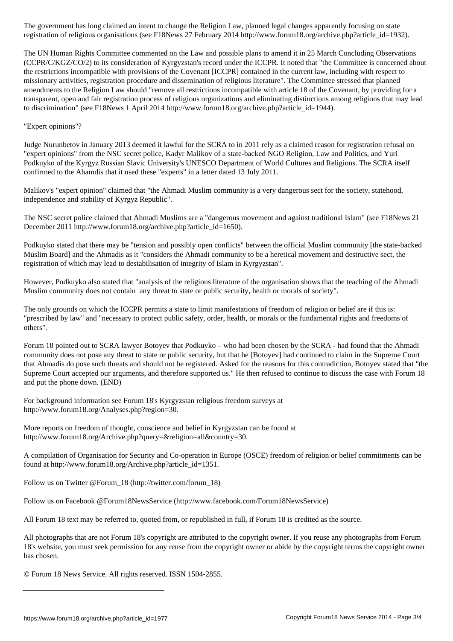registration of religious organisations (see F18News 27 February 2014 http://www.forum18.org/archive.php?article\_id=1932). The UN Human Rights Committee commented on the Law and possible plans to amend it in 25 March Concluding Observations

(CCPR/C/KGZ/CO/2) to its consideration of Kyrgyzstan's record under the ICCPR. It noted that "the Committee is concerned about the restrictions incompatible with provisions of the Covenant [ICCPR] contained in the current law, including with respect to missionary activities, registration procedure and dissemination of religious literature". The Committee stressed that planned amendments to the Religion Law should "remove all restrictions incompatible with article 18 of the Covenant, by providing for a transparent, open and fair registration process of religious organizations and eliminating distinctions among religions that may lead to discrimination" (see F18News 1 April 2014 http://www.forum18.org/archive.php?article\_id=1944).

## "Expert opinions"?

Judge Nurunbetov in January 2013 deemed it lawful for the SCRA to in 2011 rely as a claimed reason for registration refusal on "expert opinions" from the NSC secret police, Kadyr Malikov of a state-backed NGO Religion, Law and Politics, and Yuri Podkuyko of the Kyrgyz Russian Slavic University's UNESCO Department of World Cultures and Religions. The SCRA itself confirmed to the Ahamdis that it used these "experts" in a letter dated 13 July 2011.

Malikov's "expert opinion" claimed that "the Ahmadi Muslim community is a very dangerous sect for the society, statehood, independence and stability of Kyrgyz Republic".

The NSC secret police claimed that Ahmadi Muslims are a "dangerous movement and against traditional Islam" (see F18News 21 December 2011 http://www.forum18.org/archive.php?article\_id=1650).

Podkuyko stated that there may be "tension and possibly open conflicts" between the official Muslim community [the state-backed Muslim Board] and the Ahmadis as it "considers the Ahmadi community to be a heretical movement and destructive sect, the registration of which may lead to destabilisation of integrity of Islam in Kyrgyzstan".

However, Podkuyko also stated that "analysis of the religious literature of the organisation shows that the teaching of the Ahmadi Muslim community does not contain any threat to state or public security, health or morals of society".

The only grounds on which the ICCPR permits a state to limit manifestations of freedom of religion or belief are if this is: "prescribed by law" and "necessary to protect public safety, order, health, or morals or the fundamental rights and freedoms of others".

Forum 18 pointed out to SCRA lawyer Botoyev that Podkuyko – who had been chosen by the SCRA - had found that the Ahmadi community does not pose any threat to state or public security, but that he [Botoyev] had continued to claim in the Supreme Court that Ahmadis do pose such threats and should not be registered. Asked for the reasons for this contradiction, Botoyev stated that "the Supreme Court accepted our arguments, and therefore supported us." He then refused to continue to discuss the case with Forum 18 and put the phone down. (END)

For background information see Forum 18's Kyrgyzstan religious freedom surveys at http://www.forum18.org/Analyses.php?region=30.

More reports on freedom of thought, conscience and belief in Kyrgyzstan can be found at http://www.forum18.org/Archive.php?query=&religion=all&country=30.

A compilation of Organisation for Security and Co-operation in Europe (OSCE) freedom of religion or belief commitments can be found at http://www.forum18.org/Archive.php?article\_id=1351.

Follow us on Twitter @Forum\_18 (http://twitter.com/forum\_18)

Follow us on Facebook @Forum18NewsService (http://www.facebook.com/Forum18NewsService)

All Forum 18 text may be referred to, quoted from, or republished in full, if Forum 18 is credited as the source.

All photographs that are not Forum 18's copyright are attributed to the copyright owner. If you reuse any photographs from Forum 18's website, you must seek permission for any reuse from the copyright owner or abide by the copyright terms the copyright owner has chosen.

© Forum 18 News Service. All rights reserved. ISSN 1504-2855.